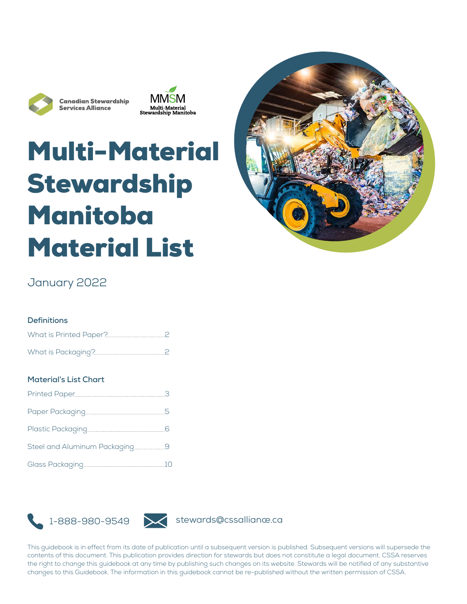

**Canadian Stewardship Services Alliance** 



# Multi-Material Stewardship Manitoba Material List



### January 2022

#### **Definitions**

#### **Material's List Chart**

| Steel and Aluminum Packaging9 |  |
|-------------------------------|--|
|                               |  |



This guidebook is in effect from its date of publication until a subsequent version is published. Subsequent versions will supersede the contents of this document. This publication provides direction for stewards but does not constitute a legal document. CSSA reserves the right to change this guidebook at any time by publishing such changes on its website. Stewards will be notified of any substantive changes to this Guidebook. The information in this guidebook cannot be re-published without the written permission of CSSA.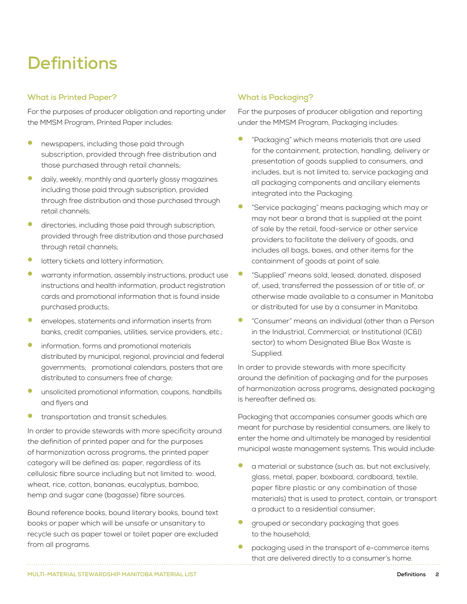## **Definitions**

#### **What is Printed Paper?**

For the purposes of producer obligation and reporting under the MMSM Program, Printed Paper includes:

- newspapers, including those paid through subscription, provided through free distribution and those purchased through retail channels;
- daily, weekly, monthly and quarterly glossy magazines including those paid through subscription, provided through free distribution and those purchased through retail channels;
- directories, including those paid through subscription, provided through free distribution and those purchased through retail channels;
- lottery tickets and lottery information;
- warranty information, assembly instructions, product use instructions and health information, product registration cards and promotional information that is found inside purchased products;
- envelopes, statements and information inserts from banks, credit companies, utilities, service providers, etc.;
- information, forms and promotional materials distributed by municipal, regional, provincial and federal governments; promotional calendars, posters that are distributed to consumers free of charge;
- unsolicited promotional information, coupons, handbills and flyers and
- transportation and transit schedules.

In order to provide stewards with more specificity around the definition of printed paper and for the purposes of harmonization across programs, the printed paper category will be defined as: paper, regardless of its cellulosic fibre source including but not limited to: wood, wheat, rice, cotton, bananas, eucalyptus, bamboo, hemp and sugar cane (bagasse) fibre sources.

Bound reference books, bound literary books, bound text books or paper which will be unsafe or unsanitary to recycle such as paper towel or toilet paper are excluded from all programs.

#### **What is Packaging?**

For the purposes of producer obligation and reporting under the MMSM Program, Packaging includes:

- "Packaging" which means materials that are used for the containment, protection, handling, delivery or presentation of goods supplied to consumers, and includes, but is not limited to, service packaging and all packaging components and ancillary elements integrated into the Packaging.
- "Service packaging" means packaging which may or may not bear a brand that is supplied at the point of sale by the retail, food-service or other service providers to facilitate the delivery of goods, and includes all bags, boxes, and other items for the containment of goods at point of sale.
- "Supplied" means sold, leased, donated, disposed of, used, transferred the possession of or title of, or otherwise made available to a consumer in Manitoba or distributed for use by a consumer in Manitoba.
- "Consumer" means an individual (other than a Person in the Industrial, Commercial, or Institutional (IC&I) sector) to whom Designated Blue Box Waste is Supplied.

In order to provide stewards with more specificity around the definition of packaging and for the purposes of harmonization across programs, designated packaging is hereafter defined as:

Packaging that accompanies consumer goods which are meant for purchase by residential consumers, are likely to enter the home and ultimately be managed by residential municipal waste management systems. This would include:

- a material or substance (such as, but not exclusively, glass, metal, paper, boxboard, cardboard, textile, paper fibre plastic or any combination of those materials) that is used to protect, contain, or transport a product to a residential consumer;
- grouped or secondary packaging that goes to the household;
- packaging used in the transport of e-commerce items that are delivered directly to a consumer's home.

**MULTI-MATERIAL STEWARDSHIP MANITOBA MATERIAL LIST Definitions** 2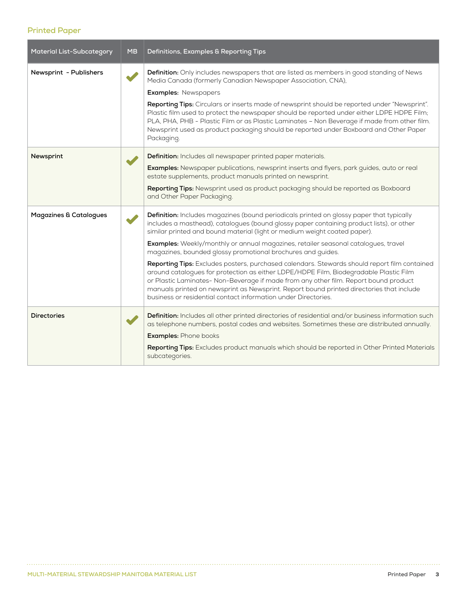#### **Printed Paper**

| <b>Material List-Subcategory</b>  | <b>MB</b> | Definitions, Examples & Reporting Tips                                                                                                                                                                                                                                                                                                                                                                                                                                                                                                                                                                                                                                                                                                                                                                                                                                |
|-----------------------------------|-----------|-----------------------------------------------------------------------------------------------------------------------------------------------------------------------------------------------------------------------------------------------------------------------------------------------------------------------------------------------------------------------------------------------------------------------------------------------------------------------------------------------------------------------------------------------------------------------------------------------------------------------------------------------------------------------------------------------------------------------------------------------------------------------------------------------------------------------------------------------------------------------|
| Newsprint - Publishers            |           | Definition: Only includes newspapers that are listed as members in good standing of News<br>Media Canada (formerly Canadian Newspaper Association, CNA),<br><b>Examples: Newspapers</b><br>Reporting Tips: Circulars or inserts made of newsprint should be reported under "Newsprint".<br>Plastic film used to protect the newspaper should be reported under either LDPE HDPE Film;<br>PLA, PHA, PHB - Plastic Film or as Plastic Laminates - Non Beverage if made from other film.<br>Newsprint used as product packaging should be reported under Boxboard and Other Paper<br>Packaging.                                                                                                                                                                                                                                                                          |
| Newsprint                         |           | Definition: Includes all newspaper printed paper materials.<br>Examples: Newspaper publications, newsprint inserts and flyers, park guides, auto or real<br>estate supplements, product manuals printed on newsprint.<br>Reporting Tips: Newsprint used as product packaging should be reported as Boxboard<br>and Other Paper Packaging.                                                                                                                                                                                                                                                                                                                                                                                                                                                                                                                             |
| <b>Magazines &amp; Catalogues</b> |           | Definition: Includes magazines (bound periodicals printed on glossy paper that typically<br>includes a masthead), catalogues (bound glossy paper containing product lists), or other<br>similar printed and bound material (light or medium weight coated paper).<br>Examples: Weekly/monthly or annual magazines, retailer seasonal catalogues, travel<br>magazines, bounded glossy promotional brochures and guides.<br>Reporting Tips: Excludes posters, purchased calendars. Stewards should report film contained<br>around catalogues for protection as either LDPE/HDPE Film, Biodegradable Plastic Film<br>or Plastic Laminates- Non-Beverage if made from any other film. Report bound product<br>manuals printed on newsprint as Newsprint. Report bound printed directories that include<br>business or residential contact information under Directories. |
| <b>Directories</b>                |           | Definition: Includes all other printed directories of residential and/or business information such<br>as telephone numbers, postal codes and websites. Sometimes these are distributed annually.<br><b>Examples: Phone books</b><br>Reporting Tips: Excludes product manuals which should be reported in Other Printed Materials<br>subcategories.                                                                                                                                                                                                                                                                                                                                                                                                                                                                                                                    |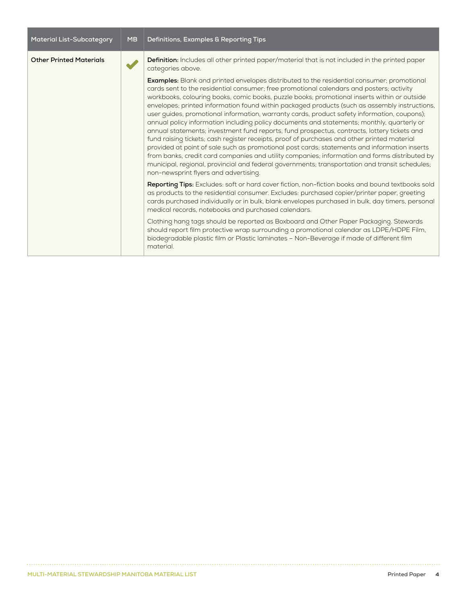| <b>Material List-Subcategory</b> | <b>MB</b> | Definitions, Examples & Reporting Tips                                                                                                                                                                                                                                                                                                                                                                                                                                                                                                                                                                                                                                                                                                                                                                                                                                                                                                                                                                                                                                                                                                |
|----------------------------------|-----------|---------------------------------------------------------------------------------------------------------------------------------------------------------------------------------------------------------------------------------------------------------------------------------------------------------------------------------------------------------------------------------------------------------------------------------------------------------------------------------------------------------------------------------------------------------------------------------------------------------------------------------------------------------------------------------------------------------------------------------------------------------------------------------------------------------------------------------------------------------------------------------------------------------------------------------------------------------------------------------------------------------------------------------------------------------------------------------------------------------------------------------------|
| <b>Other Printed Materials</b>   |           | <b>Definition:</b> Includes all other printed paper/material that is not included in the printed paper<br>categories above.                                                                                                                                                                                                                                                                                                                                                                                                                                                                                                                                                                                                                                                                                                                                                                                                                                                                                                                                                                                                           |
|                                  |           | <b>Examples:</b> Blank and printed envelopes distributed to the residential consumer; promotional<br>cards sent to the residential consumer; free promotional calendars and posters; activity<br>workbooks, colouring books, comic books, puzzle books; promotional inserts within or outside<br>envelopes; printed information found within packaged products (such as assembly instructions,<br>user guides, promotional information, warranty cards, product safety information, coupons);<br>annual policy information including policy documents and statements; monthly, quarterly or<br>annual statements; investment fund reports, fund prospectus, contracts, lottery tickets and<br>fund raising tickets; cash register receipts, proof of purchases and other printed material<br>provided at point of sale such as promotional post cards; statements and information inserts<br>from banks, credit card companies and utility companies; information and forms distributed by<br>municipal, regional, provincial and federal governments; transportation and transit schedules;<br>non-newsprint flyers and advertising. |
|                                  |           | Reporting Tips: Excludes: soft or hard cover fiction, non-fiction books and bound textbooks sold<br>as products to the residential consumer. Excludes: purchased copier/printer paper, greeting<br>cards purchased individually or in bulk, blank envelopes purchased in bulk, day timers, personal<br>medical records, notebooks and purchased calendars.                                                                                                                                                                                                                                                                                                                                                                                                                                                                                                                                                                                                                                                                                                                                                                            |
|                                  |           | Clothing hang tags should be reported as Boxboard and Other Paper Packaging. Stewards<br>should report film protective wrap surrounding a promotional calendar as LDPE/HDPE Film,<br>biodegradable plastic film or Plastic laminates - Non-Beverage if made of different film<br>material.                                                                                                                                                                                                                                                                                                                                                                                                                                                                                                                                                                                                                                                                                                                                                                                                                                            |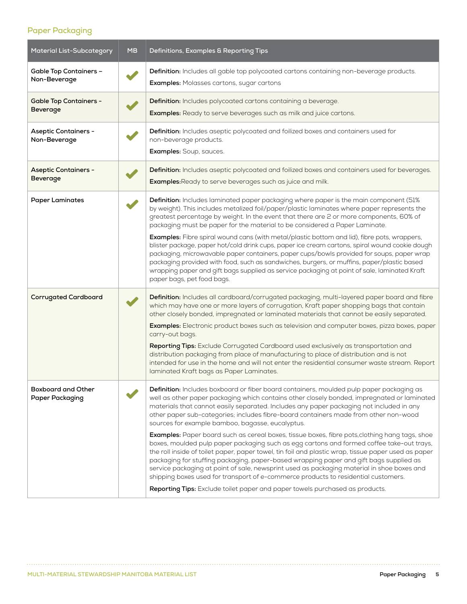#### **Paper Packaging**

| <b>Material List-Subcategory</b>                 | <b>MB</b> | Definitions, Examples & Reporting Tips                                                                                                                                                                                                                                                                                                                                                                                                                                                                                                                                                                                                                                                                                                                                                                                                                                                                                                                                                                                                                                                              |
|--------------------------------------------------|-----------|-----------------------------------------------------------------------------------------------------------------------------------------------------------------------------------------------------------------------------------------------------------------------------------------------------------------------------------------------------------------------------------------------------------------------------------------------------------------------------------------------------------------------------------------------------------------------------------------------------------------------------------------------------------------------------------------------------------------------------------------------------------------------------------------------------------------------------------------------------------------------------------------------------------------------------------------------------------------------------------------------------------------------------------------------------------------------------------------------------|
| <b>Gable Top Containers -</b><br>Non-Beverage    |           | Definition: Includes all gable top polycoated cartons containing non-beverage products.<br>Examples: Molasses cartons, sugar cartons                                                                                                                                                                                                                                                                                                                                                                                                                                                                                                                                                                                                                                                                                                                                                                                                                                                                                                                                                                |
| <b>Gable Top Containers -</b><br><b>Beverage</b> |           | Definition: Includes polycoated cartons containing a beverage.<br>Examples: Ready to serve beverages such as milk and juice cartons.                                                                                                                                                                                                                                                                                                                                                                                                                                                                                                                                                                                                                                                                                                                                                                                                                                                                                                                                                                |
| <b>Aseptic Containers -</b><br>Non-Beverage      |           | Definition: Includes aseptic polycoated and foilized boxes and containers used for<br>non-beverage products.<br>Examples: Soup, sauces.                                                                                                                                                                                                                                                                                                                                                                                                                                                                                                                                                                                                                                                                                                                                                                                                                                                                                                                                                             |
| <b>Aseptic Containers -</b><br>Beverage          |           | Definition: Includes aseptic polycoated and foilized boxes and containers used for beverages.<br><b>Examples:</b> Ready to serve beverages such as juice and milk.                                                                                                                                                                                                                                                                                                                                                                                                                                                                                                                                                                                                                                                                                                                                                                                                                                                                                                                                  |
| <b>Paper Laminates</b>                           |           | Definition: Includes laminated paper packaging where paper is the main component (51%<br>by weight). This includes metalized foil/paper/plastic laminates where paper represents the<br>greatest percentage by weight. In the event that there are 2 or more components, 60% of<br>packaging must be paper for the material to be considered a Paper Laminate.<br><b>Examples:</b> Fibre spiral wound cans (with metal/plastic bottom and lid), fibre pots, wrappers,<br>blister package, paper hot/cold drink cups, paper ice cream cartons, spiral wound cookie dough<br>packaging, microwavable paper containers, paper cups/bowls provided for soups, paper wrap<br>packaging provided with food, such as sandwiches, burgers, or muffins, paper/plastic based<br>wrapping paper and gift bags supplied as service packaging at point of sale, laminated Kraft<br>paper bags, pet food bags.                                                                                                                                                                                                    |
| <b>Corrugated Cardboard</b>                      |           | Definition: Includes all cardboard/corrugated packaging, multi-layered paper board and fibre<br>which may have one or more layers of corrugation, Kraft paper shopping bags that contain<br>other closely bonded, impregnated or laminated materials that cannot be easily separated.<br>Examples: Electronic product boxes such as television and computer boxes, pizza boxes, paper<br>carry-out bags.<br>Reporting Tips: Exclude Corrugated Cardboard used exclusively as transportation and<br>distribution packaging from place of manufacturing to place of distribution and is not<br>intended for use in the home and will not enter the residential consumer waste stream. Report<br>laminated Kraft bags as Paper Laminates.                                                                                                                                                                                                                                                                                                                                                              |
| <b>Boxboard and Other</b><br>Paper Packaging     |           | Definition: Includes boxboard or fiber board containers, moulded pulp paper packaging as<br>well as other paper packaging which contains other closely bonded, impregnated or laminated<br>materials that cannot easily separated. Includes any paper packaging not included in any<br>other paper sub-categories; includes fibre-board containers made from other non-wood<br>sources for example bamboo, bagasse, eucalyptus.<br>Examples: Paper board such as cereal boxes, tissue boxes, fibre pots, clothing hang tags, shoe<br>boxes, moulded pulp paper packaging such as egg cartons and formed coffee take-out trays,<br>the roll inside of toilet paper, paper towel, tin foil and plastic wrap, tissue paper used as paper<br>packaging for stuffing packaging, paper-based wrapping paper and gift bags supplied as<br>service packaging at point of sale, newsprint used as packaging material in shoe boxes and<br>shipping boxes used for transport of e-commerce products to residential customers.<br>Reporting Tips: Exclude toilet paper and paper towels purchased as products. |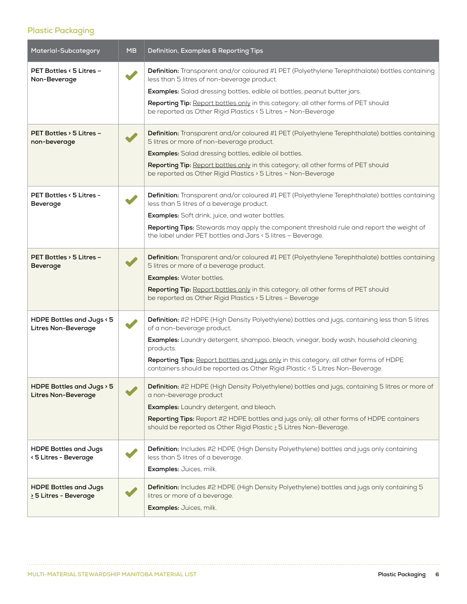#### **Plastic Packaging**

| Material-Subcategory                                    | <b>MB</b> | Definition, Examples & Reporting Tips                                                                                                                                                                                                                                                                                                                                                                         |
|---------------------------------------------------------|-----------|---------------------------------------------------------------------------------------------------------------------------------------------------------------------------------------------------------------------------------------------------------------------------------------------------------------------------------------------------------------------------------------------------------------|
| PET Bottles < 5 Litres -<br>Non-Beverage                |           | Definition: Transparent and/or coloured #1 PET (Polyethylene Terephthalate) bottles containing<br>less than 5 litres of non-beverage product.<br><b>Examples:</b> Salad dressing bottles, edible oil bottles, peanut butter jars.<br>Reporting Tip: Report bottles only in this category; all other forms of PET should<br>be reported as Other Rigid Plastics < 5 Litres - Non-Beverage                      |
| PET Bottles > 5 Litres -<br>non-beverage                |           | Definition: Transparent and/or coloured #1 PET (Polyethylene Terephthalate) bottles containing<br>5 litres or more of non-beverage product.<br>Examples: Salad dressing bottles, edible oil bottles.<br>Reporting Tip: Report bottles only in this category; all other forms of PET should<br>be reported as Other Rigid Plastics > 5 Litres - Non-Beverage                                                   |
| PET Bottles < 5 Litres -<br><b>Beverage</b>             |           | <b>Definition:</b> Transparent and/or coloured #1 PET (Polyethylene Terephthalate) bottles containing<br>less than 5 litres of a beverage product.<br>Examples: Soft drink, juice, and water bottles.<br>Reporting Tips: Stewards may apply the component threshold rule and report the weight of<br>the label under PET bottles and Jars < 5 litres - Beverage.                                              |
| PET Bottles > 5 Litres -<br><b>Beverage</b>             |           | Definition: Transparent and/or coloured #1 PET (Polyethylene Terephthalate) bottles containing<br>5 litres or more of a beverage product.<br><b>Examples:</b> Water bottles.<br>Reporting Tip: Report bottles only in this category; all other forms of PET should<br>be reported as Other Rigid Plastics > 5 Litres - Beverage                                                                               |
| HDPE Bottles and Jugs < 5<br>Litres Non-Beverage        |           | Definition: #2 HDPE (High Density Polyethylene) bottles and jugs, containing less than 5 litres<br>of a non-beverage product.<br>Examples: Laundry detergent, shampoo, bleach, vinegar, body wash, household cleaning<br>products.<br>Reporting Tips: Report bottles and jugs only in this category; all other forms of HDPE<br>containers should be reported as Other Rigid Plastic < 5 Litres Non-Beverage. |
| HDPE Bottles and Jugs > 5<br><b>Litres Non-Beverage</b> |           | Definition: #2 HDPE (High Density Polyethylene) bottles and jugs, containing 5 litres or more of<br>a non-beverage product<br>Examples: Laundry detergent, and bleach.<br>Reporting Tips: Report #2 HDPE bottles and jugs only; all other forms of HDPE containers<br>should be reported as Other Rigid Plastic > 5 Litres Non-Beverage.                                                                      |
| <b>HDPE Bottles and Jugs</b><br>< 5 Litres - Beverage   |           | Definition: Includes #2 HDPE (High Density Polyethylene) bottles and jugs only containing<br>less than 5 litres of a beverage.<br>Examples: Juices, milk.                                                                                                                                                                                                                                                     |
| <b>HDPE Bottles and Jugs</b><br>> 5 Litres - Beverage   |           | Definition: Includes #2 HDPE (High Density Polyethylene) bottles and jugs only containing 5<br>litres or more of a beverage.<br>Examples: Juices, milk.                                                                                                                                                                                                                                                       |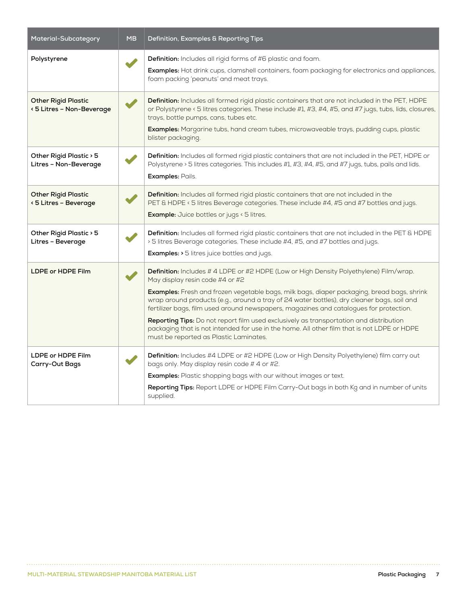| Material-Subcategory                                    | <b>MB</b> | Definition, Examples & Reporting Tips                                                                                                                                                                                                                                                                                                                                                                                                                                                                                                                                                                                                              |
|---------------------------------------------------------|-----------|----------------------------------------------------------------------------------------------------------------------------------------------------------------------------------------------------------------------------------------------------------------------------------------------------------------------------------------------------------------------------------------------------------------------------------------------------------------------------------------------------------------------------------------------------------------------------------------------------------------------------------------------------|
| Polystyrene                                             |           | Definition: Includes all rigid forms of #6 plastic and foam.<br>Examples: Hot drink cups, clamshell containers, foam packaging for electronics and appliances,<br>foam packing 'peanuts' and meat trays.                                                                                                                                                                                                                                                                                                                                                                                                                                           |
| <b>Other Rigid Plastic</b><br>< 5 Litres - Non-Beverage |           | Definition: Includes all formed rigid plastic containers that are not included in the PET, HDPE<br>or Polystyrene < 5 litres categories. These include #1, #3, #4, #5, and #7 jugs, tubs, lids, closures,<br>trays, bottle pumps, cans, tubes etc.<br>Examples: Margarine tubs, hand cream tubes, microwaveable trays, pudding cups, plastic<br>blister packaging.                                                                                                                                                                                                                                                                                 |
| Other Rigid Plastic > 5<br>Litres - Non-Beverage        |           | Definition: Includes all formed rigid plastic containers that are not included in the PET, HDPE or<br>Polystyrene > 5 litres categories. This includes #1, #3, #4, #5, and #7 jugs, tubs, pails and lids.<br>Examples: Pails.                                                                                                                                                                                                                                                                                                                                                                                                                      |
| <b>Other Rigid Plastic</b><br>< 5 Litres - Beverage     |           | Definition: Includes all formed rigid plastic containers that are not included in the<br>PET & HDPE < 5 litres Beverage categories. These include #4, #5 and #7 bottles and jugs.<br>Example: Juice bottles or jugs < 5 litres.                                                                                                                                                                                                                                                                                                                                                                                                                    |
| Other Rigid Plastic > 5<br>Litres - Beverage            |           | Definition: Includes all formed rigid plastic containers that are not included in the PET & HDPE<br>> 5 litres Beverage categories. These include #4, #5, and #7 bottles and jugs.<br><b>Examples:</b> > 5 litres juice bottles and jugs.                                                                                                                                                                                                                                                                                                                                                                                                          |
| LDPE or HDPE Film                                       |           | Definition: Includes # 4 LDPE or #2 HDPE (Low or High Density Polyethylene) Film/wrap.<br>May display resin code #4 or #2<br>Examples: Fresh and frozen vegetable bags, milk bags, diaper packaging, bread bags, shrink<br>wrap around products (e.g., around a tray of 24 water bottles), dry cleaner bags, soil and<br>fertilizer bags, film used around newspapers, magazines and catalogues for protection.<br>Reporting Tips: Do not report film used exclusively as transportation and distribution<br>packaging that is not intended for use in the home. All other film that is not LDPE or HDPE<br>must be reported as Plastic Laminates. |
| LDPE or HDPE Film<br><b>Carry-Out Bags</b>              |           | Definition: Includes #4 LDPE or #2 HDPE (Low or High Density Polyethylene) film carry out<br>bags only. May display resin code #4 or #2.<br><b>Examples:</b> Plastic shopping bags with our without images or text.<br>Reporting Tips: Report LDPE or HDPE Film Carry-Out bags in both Kg and in number of units<br>supplied.                                                                                                                                                                                                                                                                                                                      |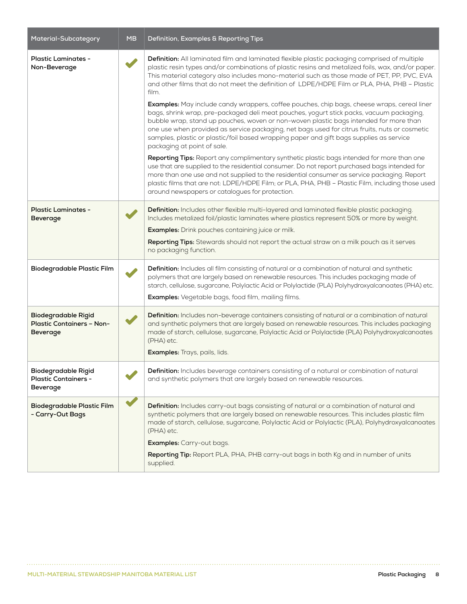| Material-Subcategory                                                       | <b>MB</b> | Definition, Examples & Reporting Tips                                                                                                                                                                                                                                                                                                                                                                                                                                                                                                                                                                                                                                                                                                                                                                                                                                                                                                                                                                                                                                                                                                                                                                                                                                                                                                                                         |
|----------------------------------------------------------------------------|-----------|-------------------------------------------------------------------------------------------------------------------------------------------------------------------------------------------------------------------------------------------------------------------------------------------------------------------------------------------------------------------------------------------------------------------------------------------------------------------------------------------------------------------------------------------------------------------------------------------------------------------------------------------------------------------------------------------------------------------------------------------------------------------------------------------------------------------------------------------------------------------------------------------------------------------------------------------------------------------------------------------------------------------------------------------------------------------------------------------------------------------------------------------------------------------------------------------------------------------------------------------------------------------------------------------------------------------------------------------------------------------------------|
| Plastic Laminates -<br>Non-Beverage                                        |           | Definition: All laminated film and laminated flexible plastic packaging comprised of multiple<br>plastic resin types and/or combinations of plastic resins and metalized foils, wax, and/or paper.<br>This material category also includes mono-material such as those made of PET, PP, PVC, EVA<br>and other films that do not meet the definition of LDPE/HDPE Film or PLA, PHA, PHB - Plastic<br>film.<br>Examples: May include candy wrappers, coffee pouches, chip bags, cheese wraps, cereal liner<br>bags, shrink wrap, pre-packaged deli meat pouches, yogurt stick packs, vacuum packaging,<br>bubble wrap, stand up pouches, woven or non-woven plastic bags intended for more than<br>one use when provided as service packaging, net bags used for citrus fruits, nuts or cosmetic<br>samples, plastic or plastic/foil based wrapping paper and gift bags supplies as service<br>packaging at point of sale.<br>Reporting Tips: Report any complimentary synthetic plastic bags intended for more than one<br>use that are supplied to the residential consumer. Do not report purchased bags intended for<br>more than one use and not supplied to the residential consumer as service packaging. Report<br>plastic films that are not: LDPE/HDPE Film; or PLA, PHA, PHB - Plastic Film, including those used<br>around newspapers or catalogues for protection. |
| Plastic Laminates -<br><b>Beverage</b>                                     |           | Definition: Includes other flexible multi-layered and laminated flexible plastic packaging.<br>Includes metalized foil/plastic laminates where plastics represent 50% or more by weight.<br><b>Examples:</b> Drink pouches containing juice or milk.<br>Reporting Tips: Stewards should not report the actual straw on a milk pouch as it serves<br>no packaging function.                                                                                                                                                                                                                                                                                                                                                                                                                                                                                                                                                                                                                                                                                                                                                                                                                                                                                                                                                                                                    |
| <b>Biodegradable Plastic Film</b>                                          |           | Definition: Includes all film consisting of natural or a combination of natural and synthetic<br>polymers that are largely based on renewable resources. This includes packaging made of<br>starch, cellulose, sugarcane, Polylactic Acid or Polylactide (PLA) Polyhydroxyalcanoates (PHA) etc.<br>Examples: Vegetable bags, food film, mailing films.                                                                                                                                                                                                                                                                                                                                                                                                                                                                                                                                                                                                                                                                                                                                                                                                                                                                                                                                                                                                                        |
| <b>Biodegradable Rigid</b><br>Plastic Containers - Non-<br><b>Beverage</b> |           | Definition: Includes non-beverage containers consisting of natural or a combination of natural<br>and synthetic polymers that are largely based on renewable resources. This includes packaging<br>made of starch, cellulose, sugarcane, Polylactic Acid or Polylactide (PLA) Polyhydroxyalcanoates<br>(PHA) etc.<br>Examples: Trays, pails, lids.                                                                                                                                                                                                                                                                                                                                                                                                                                                                                                                                                                                                                                                                                                                                                                                                                                                                                                                                                                                                                            |
| Biodegradable Rigid<br>Plastic Containers -<br>Beverage                    |           | Definition: Includes beverage containers consisting of a natural or combination of natural<br>and synthetic polymers that are largely based on renewable resources.                                                                                                                                                                                                                                                                                                                                                                                                                                                                                                                                                                                                                                                                                                                                                                                                                                                                                                                                                                                                                                                                                                                                                                                                           |
| <b>Biodegradable Plastic Film</b><br>- Carry-Out Bags                      |           | Definition: Includes carry-out bags consisting of natural or a combination of natural and<br>synthetic polymers that are largely based on renewable resources. This includes plastic film<br>made of starch, cellulose, sugarcane, Polylactic Acid or Polylactic (PLA), Polyhydroxyalcanoates<br>(PHA) etc.<br>Examples: Carry-out bags.<br>Reporting Tip: Report PLA, PHA, PHB carry-out bags in both Kg and in number of units<br>supplied.                                                                                                                                                                                                                                                                                                                                                                                                                                                                                                                                                                                                                                                                                                                                                                                                                                                                                                                                 |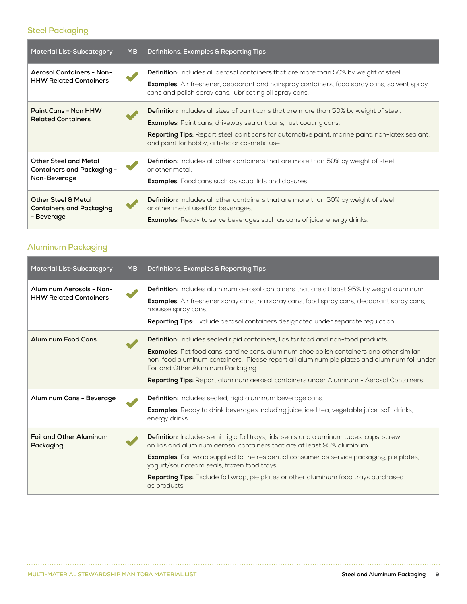#### **Steel Packaging**

| <b>Material List-Subcategory</b>                                                  | <b>MB</b> | Definitions, Examples & Reporting Tips                                                                                                                                                                                                                                                                                              |
|-----------------------------------------------------------------------------------|-----------|-------------------------------------------------------------------------------------------------------------------------------------------------------------------------------------------------------------------------------------------------------------------------------------------------------------------------------------|
| <b>Aerosol Containers - Non-</b><br><b>HHW Related Containers</b>                 |           | <b>Definition:</b> Includes all aerosol containers that are more than 50% by weight of steel.<br><b>Examples:</b> Air freshener, deodorant and hairspray containers, food spray cans, solvent spray<br>cans and polish spray cans, lubricating oil spray cans.                                                                      |
| Paint Cans - Non HHW<br><b>Related Containers</b>                                 |           | <b>Definition:</b> Includes all sizes of paint cans that are more than 50% by weight of steel.<br><b>Examples:</b> Paint cans, driveway sealant cans, rust coating cans.<br><b>Reporting Tips:</b> Report steel paint cans for automotive paint, marine paint, non-latex sealant,<br>and paint for hobby, artistic or cosmetic use. |
| <b>Other Steel and Metal</b><br><b>Containers and Packaging -</b><br>Non-Beverage |           | <b>Definition:</b> Includes all other containers that are more than 50% by weight of steel<br>or other metal.<br><b>Examples:</b> Food cans such as soup, lids and closures.                                                                                                                                                        |
| <b>Other Steel &amp; Metal</b><br><b>Containers and Packaging</b><br>- Beverage   |           | <b>Definition:</b> Includes all other containers that are more than 50% by weight of steel<br>or other metal used for beverages.<br>Examples: Ready to serve beverages such as cans of juice, energy drinks.                                                                                                                        |

#### **Aluminum Packaging**

| <b>Material List-Subcategory</b>                          | <b>MB</b> | Definitions, Examples & Reporting Tips                                                                                                                                                                                                                                                                                                                                                                                         |
|-----------------------------------------------------------|-----------|--------------------------------------------------------------------------------------------------------------------------------------------------------------------------------------------------------------------------------------------------------------------------------------------------------------------------------------------------------------------------------------------------------------------------------|
| Aluminum Aerosols - Non-<br><b>HHW Related Containers</b> |           | Definition: Includes aluminum aerosol containers that are at least 95% by weight aluminum.<br>Examples: Air freshener spray cans, hairspray cans, food spray cans, deodorant spray cans,<br>mousse spray cans.<br>Reporting Tips: Exclude aerosol containers designated under separate regulation.                                                                                                                             |
| <b>Aluminum Food Cans</b>                                 |           | <b>Definition:</b> Includes sealed rigid containers, lids for food and non-food products.<br>Examples: Pet food cans, sardine cans, aluminum shoe polish containers and other similar<br>non-food aluminum containers. Please report all aluminum pie plates and aluminum foil under<br>Foil and Other Aluminum Packaging.<br>Reporting Tips: Report aluminum aerosol containers under Aluminum - Aerosol Containers.          |
| Aluminum Cans - Beverage                                  |           | Definition: Includes sealed, rigid aluminum beverage cans.<br>Examples: Ready to drink beverages including juice, iced tea, vegetable juice, soft drinks,<br>energy drinks                                                                                                                                                                                                                                                     |
| Foil and Other Aluminum<br>Packaging                      |           | Definition: Includes semi-rigid foil trays, lids, seals and aluminum tubes, caps, screw<br>on lids and aluminum gerosol containers that are at least 95% aluminum.<br><b>Examples:</b> Foil wrap supplied to the residential consumer as service packaging, pie plates,<br>yogurt/sour cream seals, frozen food trays,<br>Reporting Tips: Exclude foil wrap, pie plates or other aluminum food trays purchased<br>as products. |